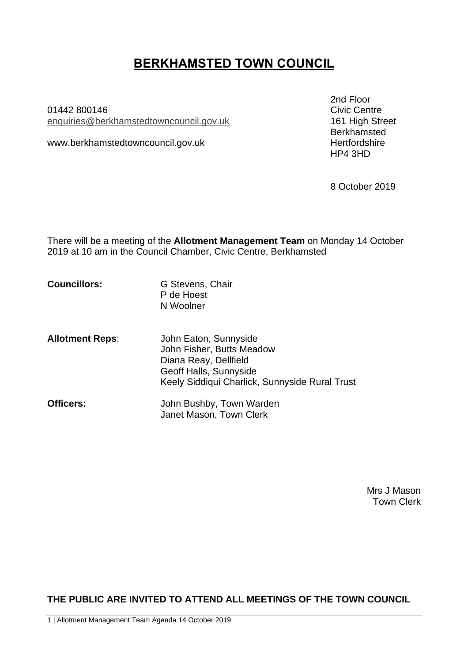# **BERKHAMSTED TOWN COUNCIL**

01442 800146 enquiries[@berkhamstedtowncouncil.gov.uk](mailto:berkhamsted.towncouncil@dacorum.gov.uk) 161 High Street

www.berkhamstedtowncouncil.gov.uk hertfordshire

2nd Floor<br>Civic Centre Berkhamsted HP4 3HD

8 October 2019

There will be a meeting of the **Allotment Management Team** on Monday 14 October 2019 at 10 am in the Council Chamber, Civic Centre, Berkhamsted

**Councillors:** G Stevens, Chair P de Hoest N Woolner

**Allotment Reps**: John Eaton, Sunnyside John Fisher, Butts Meadow Diana Reay, Dellfield Geoff Halls, Sunnyside Keely Siddiqui Charlick, Sunnyside Rural Trust

| <b>Officers:</b> | John Bushby, Town Warden |
|------------------|--------------------------|
|                  | Janet Mason, Town Clerk  |

Mrs J Mason Town Clerk

**THE PUBLIC ARE INVITED TO ATTEND ALL MEETINGS OF THE TOWN COUNCIL**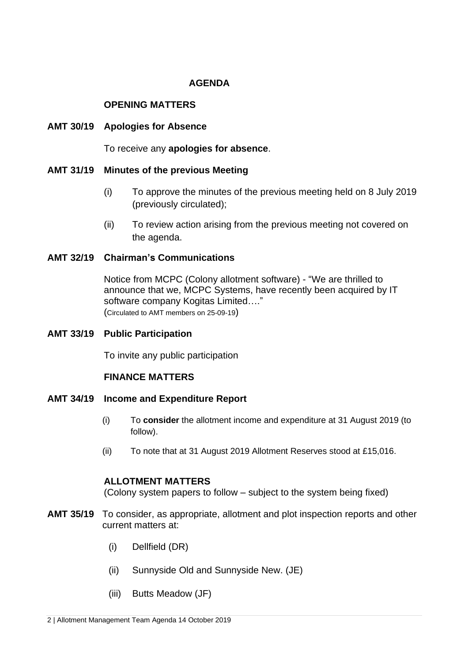# **AGENDA**

## **OPENING MATTERS**

## **AMT 30/19 Apologies for Absence**

To receive any **apologies for absence**.

## **AMT 31/19 Minutes of the previous Meeting**

- (i) To approve the minutes of the previous meeting held on 8 July 2019 (previously circulated);
- (ii) To review action arising from the previous meeting not covered on the agenda.

## **AMT 32/19 Chairman's Communications**

Notice from MCPC (Colony allotment software) - "We are thrilled to announce that we, MCPC Systems, have recently been acquired by IT software company Kogitas Limited…." (Circulated to AMT members on 25-09-19)

## **AMT 33/19 Public Participation**

To invite any public participation

## **FINANCE MATTERS**

#### **AMT 34/19 Income and Expenditure Report**

- (i) To **consider** the allotment income and expenditure at 31 August 2019 (to follow).
- (ii) To note that at 31 August 2019 Allotment Reserves stood at £15,016.

## **ALLOTMENT MATTERS**

(Colony system papers to follow – subject to the system being fixed)

- **AMT 35/19** To consider, as appropriate, allotment and plot inspection reports and other current matters at:
	- (i) Dellfield (DR)
	- (ii) Sunnyside Old and Sunnyside New. (JE)
	- (iii) Butts Meadow (JF)